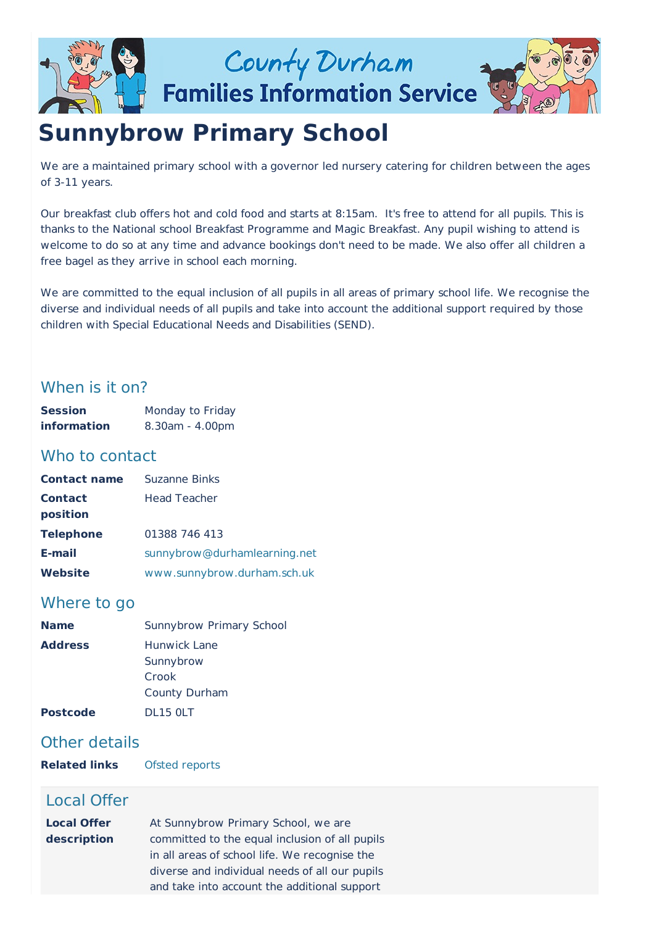

County Durham **Families Information Service** 



# **Sunnybrow Primary School**

We are a maintained primary school with a governor led nursery catering for children between the ages of 3-11 years.

Our breakfast club offers hot and cold food and starts at 8:15am. It's free to attend for all pupils. This is thanks to the National school Breakfast Programme and Magic Breakfast. Any pupil wishing to attend is welcome to do so at any time and advance bookings don't need to be made. We also offer all children a free bagel as they arrive in school each morning.

We are committed to the equal inclusion of all pupils in all areas of primary school life. We recognise the diverse and individual needs of all pupils and take into account the additional support required by those children with Special Educational Needs and Disabilities (SEND).

# When is it on?

| <b>Session</b>     | Monday to Friday      |
|--------------------|-----------------------|
| <b>information</b> | $8.30$ am - $4.00$ pm |

# Who to contact

| <b>Contact name</b> | Suzanne Binks                |
|---------------------|------------------------------|
| <b>Contact</b>      | <b>Head Teacher</b>          |
| position            |                              |
| <b>Telephone</b>    | 01388 746 413                |
| E-mail              | sunnybrow@durhamlearning.net |
| Website             | www.sunnybrow.durham.sch.uk  |

# Where to go

| <b>Name</b>     | Sunnybrow Primary School |
|-----------------|--------------------------|
| <b>Address</b>  | Hunwick Lane             |
|                 | Sunnybrow                |
|                 | Crook                    |
|                 | County Durham            |
| <b>Postcode</b> | <b>DL15 0LT</b>          |

# Other details

**Related links** Ofsted [reports](http://www.ofsted.gov.uk/inspection-reports/find-inspection-report/provider/ELS/114060)

# Local Offer

| <b>Local Offer</b> | At Sunnybrow Primary School, we are            |
|--------------------|------------------------------------------------|
| description        | committed to the equal inclusion of all pupils |
|                    | in all areas of school life. We recognise the  |
|                    | diverse and individual needs of all our pupils |
|                    | and take into account the additional support   |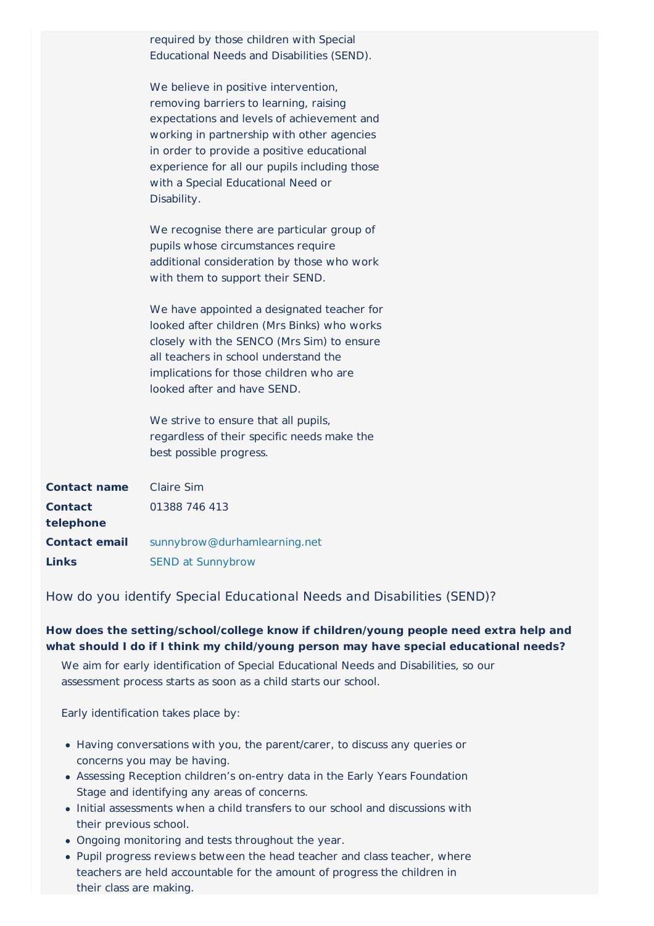|                             | required by those children with Special<br>Educational Needs and Disabilities (SEND).                                                                                                                                                                                                                                          |
|-----------------------------|--------------------------------------------------------------------------------------------------------------------------------------------------------------------------------------------------------------------------------------------------------------------------------------------------------------------------------|
|                             | We believe in positive intervention,<br>removing barriers to learning, raising<br>expectations and levels of achievement and<br>working in partnership with other agencies<br>in order to provide a positive educational<br>experience for all our pupils including those<br>with a Special Educational Need or<br>Disability. |
|                             | We recognise there are particular group of<br>pupils whose circumstances require<br>additional consideration by those who work<br>with them to support their SEND.                                                                                                                                                             |
|                             | We have appointed a designated teacher for<br>looked after children (Mrs Binks) who works<br>closely with the SENCO (Mrs Sim) to ensure<br>all teachers in school understand the<br>implications for those children who are<br>looked after and have SEND.                                                                     |
|                             | We strive to ensure that all pupils,<br>regardless of their specific needs make the<br>best possible progress.                                                                                                                                                                                                                 |
| <b>Contact name</b>         | <b>Claire Sim</b>                                                                                                                                                                                                                                                                                                              |
| <b>Contact</b><br>telephone | 01388 746 413                                                                                                                                                                                                                                                                                                                  |
| <b>Contact email</b>        | sunnybrow@durhamlearning.net                                                                                                                                                                                                                                                                                                   |
| Links                       | <b>SEND at Sunnybrow</b>                                                                                                                                                                                                                                                                                                       |

How do you identify Special Educational Needs and Disabilities (SEND)?

# **How does the setting/school/college know if children/young people need extra help and what should I do if I think my child/young person may have special educational needs?**

We aim for early identification of Special Educational Needs and Disabilities, so our assessment process starts as soon as a child starts our school.

Early identification takes place by:

- Having conversations with you, the parent/carer, to discuss any queries or concerns you may be having.
- Assessing Reception children's on-entry data in the Early Years Foundation Stage and identifying any areas of concerns.
- Initial assessments when a child transfers to our school and discussions with their previous school.
- Ongoing monitoring and tests throughout the year.
- Pupil progress reviews between the head teacher and class teacher, where teachers are held accountable for the amount of progress the children in their class are making.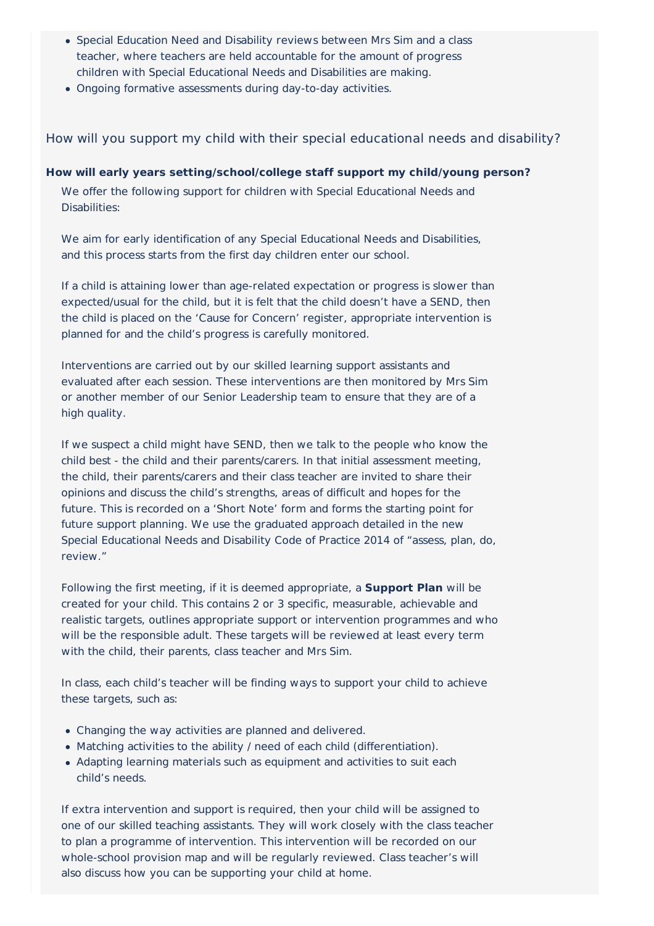- Special Education Need and Disability reviews between Mrs Sim and a class teacher, where teachers are held accountable for the amount of progress children with Special Educational Needs and Disabilities are making.
- Ongoing formative assessments during day-to-day activities.

How will you support my child with their special educational needs and disability?

**How will early years setting/school/college staff support my child/young person?**

We offer the following support for children with Special Educational Needs and Disabilities:

We aim for early identification of any Special Educational Needs and Disabilities, and this process starts from the first day children enter our school.

If a child is attaining lower than age-related expectation or progress is slower than expected/usual for the child, but it is felt that the child doesn't have a SEND, then the child is placed on the 'Cause for Concern' register, appropriate intervention is planned for and the child's progress is carefully monitored.

Interventions are carried out by our skilled learning support assistants and evaluated after each session. These interventions are then monitored by Mrs Sim or another member of our Senior Leadership team to ensure that they are of a high quality.

If we suspect a child might have SEND, then we talk to the people who know the child best - the child and their parents/carers. In that initial assessment meeting, the child, their parents/carers and their class teacher are invited to share their opinions and discuss the child's strengths, areas of difficult and hopes for the future. This is recorded on a 'Short Note' form and forms the starting point for future support planning. We use the graduated approach detailed in the new Special Educational Needs and Disability Code of Practice 2014 of "assess, plan, do, review."

Following the first meeting, if it is deemed appropriate, a **Support Plan** will be created for your child. This contains 2 or 3 specific, measurable, achievable and realistic targets, outlines appropriate support or intervention programmes and who will be the responsible adult. These targets will be reviewed at least every term with the child, their parents, class teacher and Mrs Sim.

In class, each child's teacher will be finding ways to support your child to achieve these targets, such as:

- Changing the way activities are planned and delivered.
- Matching activities to the ability / need of each child (differentiation).
- Adapting learning materials such as equipment and activities to suit each child's needs.

If extra intervention and support is required, then your child will be assigned to one of our skilled teaching assistants. They will work closely with the class teacher to plan a programme of intervention. This intervention will be recorded on our whole-school provision map and will be regularly reviewed. Class teacher's will also discuss how you can be supporting your child at home.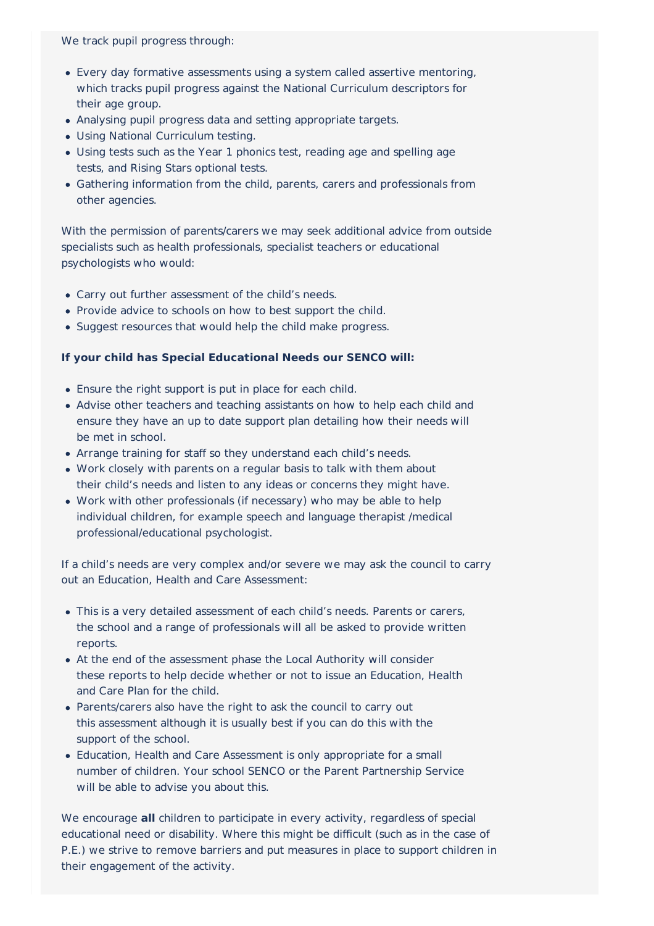We track pupil progress through:

- Every day formative assessments using a system called assertive mentoring, which tracks pupil progress against the National Curriculum descriptors for their age group.
- Analysing pupil progress data and setting appropriate targets.
- Using National Curriculum testing.
- Using tests such as the Year 1 phonics test, reading age and spelling age tests, and Rising Stars optional tests.
- Gathering information from the child, parents, carers and professionals from other agencies.

With the permission of parents/carers we may seek additional advice from outside specialists such as health professionals, specialist teachers or educational psychologists who would:

- Carry out further assessment of the child's needs.
- Provide advice to schools on how to best support the child.
- Suggest resources that would help the child make progress.

# **If your child has Special Educational Needs our SENCO will:**

- Ensure the right support is put in place for each child.
- Advise other teachers and teaching assistants on how to help each child and ensure they have an up to date support plan detailing how their needs will be met in school.
- Arrange training for staff so they understand each child's needs.
- Work closely with parents on a regular basis to talk with them about their child's needs and listen to any ideas or concerns they might have.
- Work with other professionals (if necessary) who may be able to help individual children, for example speech and language therapist /medical professional/educational psychologist.

If a child's needs are very complex and/or severe we may ask the council to carry out an Education, Health and Care Assessment:

- This is a very detailed assessment of each child's needs. Parents or carers, the school and a range of professionals will all be asked to provide written reports.
- At the end of the assessment phase the Local Authority will consider these reports to help decide whether or not to issue an Education, Health and Care Plan for the child.
- Parents/carers also have the right to ask the council to carry out this assessment although it is usually best if you can do this with the support of the school.
- Education, Health and Care Assessment is only appropriate for a small number of children. Your school SENCO or the Parent Partnership Service will be able to advise you about this.

We encourage **all** children to participate in every activity, regardless of special educational need or disability. Where this might be difficult (such as in the case of P.E.) we strive to remove barriers and put measures in place to support children in their engagement of the activity.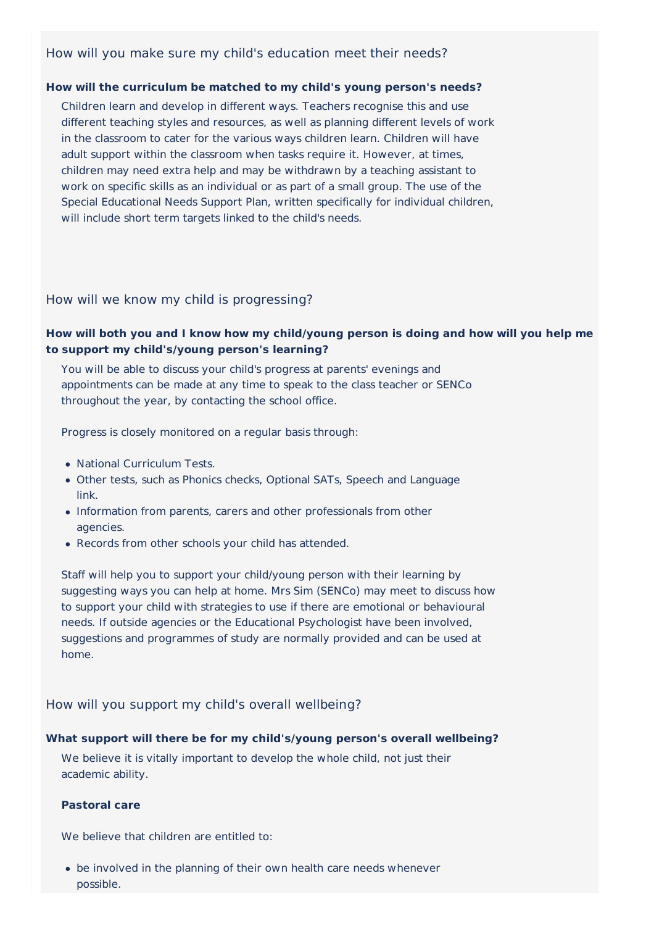# How will you make sure my child's education meet their needs?

#### **How will the curriculum be matched to my child's young person's needs?**

Children learn and develop in different ways. Teachers recognise this and use different teaching styles and resources, as well as planning different levels of work in the classroom to cater for the various ways children learn. Children will have adult support within the classroom when tasks require it. However, at times, children may need extra help and may be withdrawn by a teaching assistant to work on specific skills as an individual or as part of a small group. The use of the Special Educational Needs Support Plan, written specifically for individual children, will include short term targets linked to the child's needs.

#### How will we know my child is progressing?

# **How will both you and I know how my child/young person is doing and how will you help me to support my child's/young person's learning?**

You will be able to discuss your child's progress at parents' evenings and appointments can be made at any time to speak to the class teacher or SENCo throughout the year, by contacting the school office.

Progress is closely monitored on a regular basis through:

- National Curriculum Tests.
- Other tests, such as Phonics checks, Optional SATs, Speech and Language link.
- Information from parents, carers and other professionals from other agencies.
- Records from other schools your child has attended.

Staff will help you to support your child/young person with their learning by suggesting ways you can help at home. Mrs Sim (SENCo) may meet to discuss how to support your child with strategies to use if there are emotional or behavioural needs. If outside agencies or the Educational Psychologist have been involved, suggestions and programmes of study are normally provided and can be used at home.

## How will you support my child's overall wellbeing?

#### **What support will there be for my child's/young person's overall wellbeing?**

We believe it is vitally important to develop the whole child, not just their academic ability.

#### **Pastoral care**

We believe that children are entitled to:

be involved in the planning of their own health care needs whenever possible.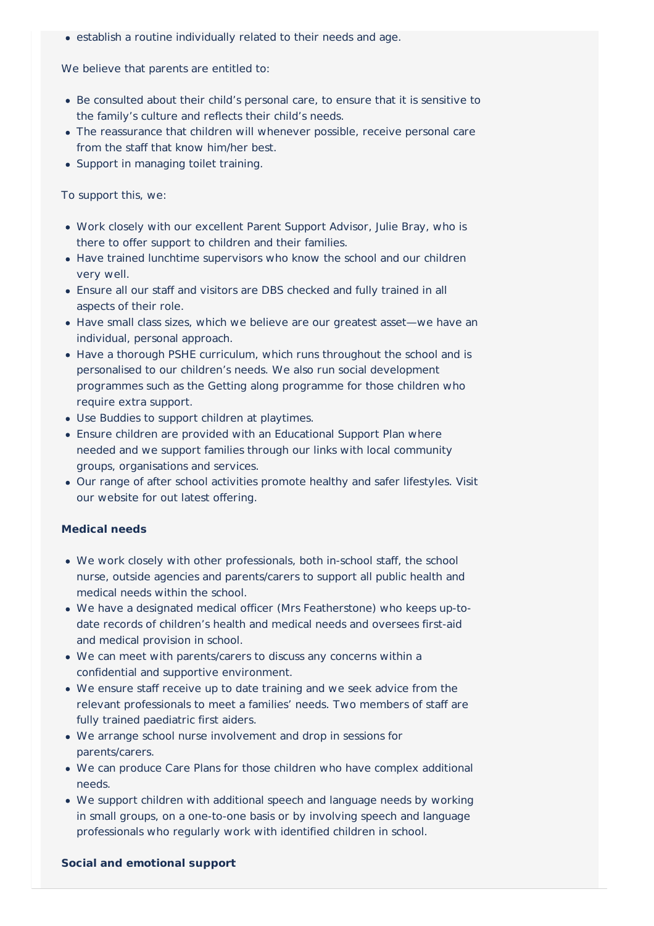establish a routine individually related to their needs and age.

We believe that parents are entitled to:

- Be consulted about their child's personal care, to ensure that it is sensitive to the family's culture and reflects their child's needs.
- The reassurance that children will whenever possible, receive personal care from the staff that know him/her best.
- Support in managing toilet training.

To support this, we:

- Work closely with our excellent Parent Support Advisor, Julie Bray, who is there to offer support to children and their families.
- Have trained lunchtime supervisors who know the school and our children very well.
- Ensure all our staff and visitors are DBS checked and fully trained in all aspects of their role.
- Have small class sizes, which we believe are our greatest asset—we have an individual, personal approach.
- Have a thorough PSHE curriculum, which runs throughout the school and is personalised to our children's needs. We also run social development programmes such as the Getting along programme for those children who require extra support.
- Use Buddies to support children at playtimes.
- Ensure children are provided with an Educational Support Plan where needed and we support families through our links with local community groups, organisations and services.
- Our range of after school activities promote healthy and safer lifestyles. Visit our website for out latest offering.

## **Medical needs**

- We work closely with other professionals, both in-school staff, the school nurse, outside agencies and parents/carers to support all public health and medical needs within the school.
- We have a designated medical officer (Mrs Featherstone) who keeps up-todate records of children's health and medical needs and oversees first-aid and medical provision in school.
- We can meet with parents/carers to discuss any concerns within a confidential and supportive environment.
- We ensure staff receive up to date training and we seek advice from the relevant professionals to meet a families' needs. Two members of staff are fully trained paediatric first aiders.
- We arrange school nurse involvement and drop in sessions for parents/carers.
- We can produce Care Plans for those children who have complex additional needs.
- We support children with additional speech and language needs by working in small groups, on a one-to-one basis or by involving speech and language professionals who regularly work with identified children in school.

#### **Social and emotional support**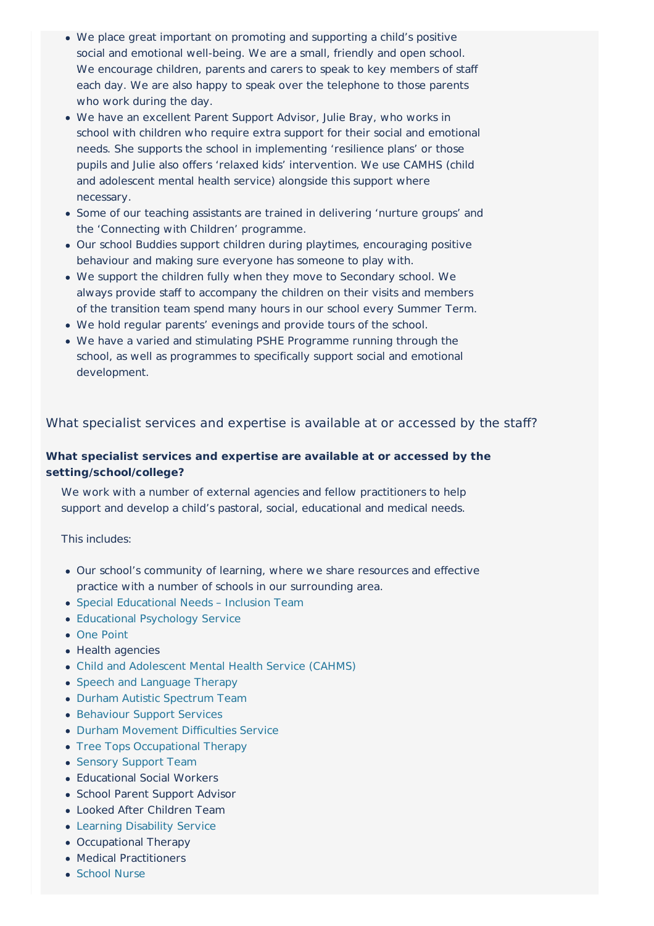- We place great important on promoting and supporting a child's positive social and emotional well-being. We are a small, friendly and open school. We encourage children, parents and carers to speak to key members of staff each day. We are also happy to speak over the telephone to those parents who work during the day.
- We have an excellent Parent Support Advisor, Julie Bray, who works in school with children who require extra support for their social and emotional needs. She supports the school in implementing 'resilience plans' or those pupils and Julie also offers 'relaxed kids' intervention. We use CAMHS (child and adolescent mental health service) alongside this support where necessary.
- Some of our teaching assistants are trained in delivering 'nurture groups' and the 'Connecting with Children' programme.
- Our school Buddies support children during playtimes, encouraging positive behaviour and making sure everyone has someone to play with.
- We support the children fully when they move to Secondary school. We always provide staff to accompany the children on their visits and members of the transition team spend many hours in our school every Summer Term.
- We hold regular parents' evenings and provide tours of the school.
- We have a varied and stimulating PSHE Programme running through the school, as well as programmes to specifically support social and emotional development.

What specialist services and expertise is available at or accessed by the staff?

# **What specialist services and expertise are available at or accessed by the setting/school/college?**

We work with a number of external agencies and fellow practitioners to help support and develop a child's pastoral, social, educational and medical needs.

#### This includes:

- Our school's community of learning, where we share resources and effective practice with a number of schools in our surrounding area.
- Special [Educational](http://www.countydurhamfamilies.info/kb5/durham/fsd/organisation.page?id=HZzSlfMJJKQ&) Needs Inclusion Team
- [Educational](http://www.countydurhamfamilies.info/kb5/durham/fsd/organisation.page?id=SUaBReUwvfI&) Psychology Service
- One [Point](http://search3.openobjects.com/kb5/durham/fsd/organisation.page?id=C2uMmflW24E&)
- Health agencies
- Child and [Adolescent](http://www.countydurhamfamilies.info/kb5/durham/fsd/organisation.page?id=Ie0wpb_gjck) Mental Health Service (CAHMS)
- Speech and [Language](http://www.cddft.nhs.uk/our-services/community-health-services/children%27s-services/children%27s-speech-and-language-therapy.aspx) Therapy
- Durham Autistic [Spectrum](http://www.durham.gov.uk/article/2386/Special-educational-needs-support) Team
- [Behaviour](http://www.durham.gov.uk/article/2386/Special-educational-needs-support) Support Services
- Durham [Movement](http://www.durham.gov.uk/article/2386/Special-educational-needs-support) Difficulties Service
- Tree Tops [Occupational](http://www.treetopsoccupationaltherapy.co.uk/) Therapy
- [Sensory](http://www.durham.gov.uk/sensorysupportteam) Support Team
- Educational Social Workers
- School Parent Support Advisor
- Looked After Children Team
- Learning [Disability](http://www.durham.gov.uk/learningdisabilities) Service
- Occupational Therapy
- Medical Practitioners
- [School](http://www.sunnybrow.durham.sch.uk/wp-content/uploads/sites/68/2014/07/School-Nurse.pdf) Nurse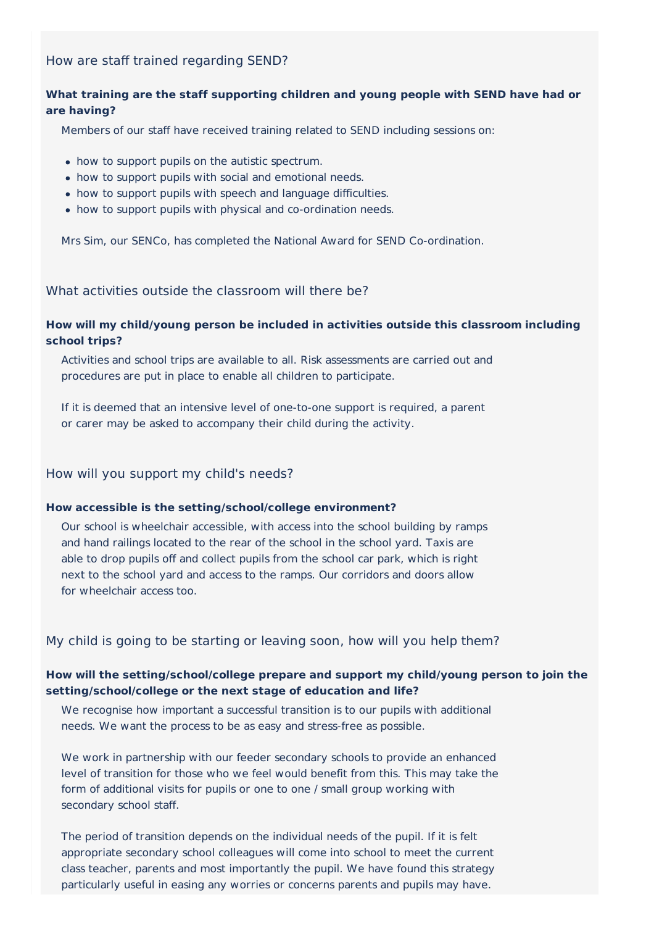# How are staff trained regarding SEND?

# **What training are the staff supporting children and young people with SEND have had or are having?**

Members of our staff have received training related to SEND including sessions on:

- how to support pupils on the autistic spectrum.
- how to support pupils with social and emotional needs.
- how to support pupils with speech and language difficulties.
- how to support pupils with physical and co-ordination needs.

Mrs Sim, our SENCo, has completed the National Award for SEND Co-ordination.

# What activities outside the classroom will there be?

## **How will my child/young person be included in activities outside this classroom including school trips?**

Activities and school trips are available to all. Risk assessments are carried out and procedures are put in place to enable all children to participate.

If it is deemed that an intensive level of one-to-one support is required, a parent or carer may be asked to accompany their child during the activity.

## How will you support my child's needs?

#### **How accessible is the setting/school/college environment?**

Our school is wheelchair accessible, with access into the school building by ramps and hand railings located to the rear of the school in the school yard. Taxis are able to drop pupils off and collect pupils from the school car park, which is right next to the school yard and access to the ramps. Our corridors and doors allow for wheelchair access too.

# My child is going to be starting or leaving soon, how will you help them?

## **How will the setting/school/college prepare and support my child/young person to join the setting/school/college or the next stage of education and life?**

We recognise how important a successful transition is to our pupils with additional needs. We want the process to be as easy and stress-free as possible.

We work in partnership with our feeder secondary schools to provide an enhanced level of transition for those who we feel would benefit from this. This may take the form of additional visits for pupils or one to one / small group working with secondary school staff.

The period of transition depends on the individual needs of the pupil. If it is felt appropriate secondary school colleagues will come into school to meet the current class teacher, parents and most importantly the pupil. We have found this strategy particularly useful in easing any worries or concerns parents and pupils may have.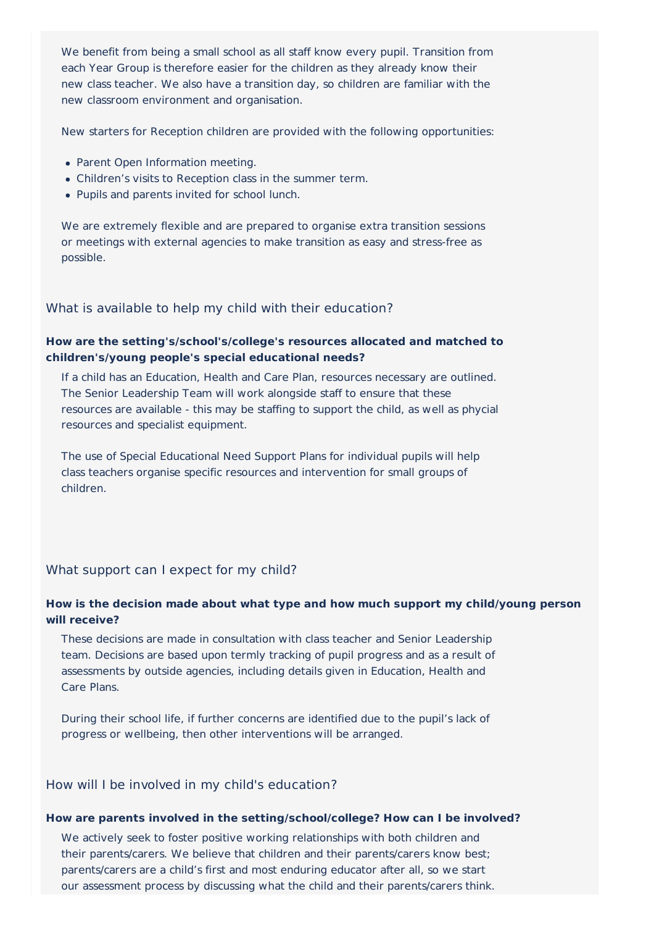We benefit from being a small school as all staff know every pupil. Transition from each Year Group is therefore easier for the children as they already know their new class teacher. We also have a transition day, so children are familiar with the new classroom environment and organisation.

New starters for Reception children are provided with the following opportunities:

- Parent Open Information meeting.
- Children's visits to Reception class in the summer term.
- Pupils and parents invited for school lunch.

We are extremely flexible and are prepared to organise extra transition sessions or meetings with external agencies to make transition as easy and stress-free as possible.

What is available to help my child with their education?

# **How are the setting's/school's/college's resources allocated and matched to children's/young people's special educational needs?**

If a child has an Education, Health and Care Plan, resources necessary are outlined. The Senior Leadership Team will work alongside staff to ensure that these resources are available - this may be staffing to support the child, as well as phycial resources and specialist equipment.

The use of Special Educational Need Support Plans for individual pupils will help class teachers organise specific resources and intervention for small groups of children.

### What support can I expect for my child?

#### **How is the decision made about what type and how much support my child/young person will receive?**

These decisions are made in consultation with class teacher and Senior Leadership team. Decisions are based upon termly tracking of pupil progress and as a result of assessments by outside agencies, including details given in Education, Health and Care Plans.

During their school life, if further concerns are identified due to the pupil's lack of progress or wellbeing, then other interventions will be arranged.

#### How will I be involved in my child's education?

#### **How are parents involved in the setting/school/college? How can I be involved?**

We actively seek to foster positive working relationships with both children and their parents/carers. We believe that children and their parents/carers know best; parents/carers are a child's first and most enduring educator after all, so we start our assessment process by discussing what the child and their parents/carers think.